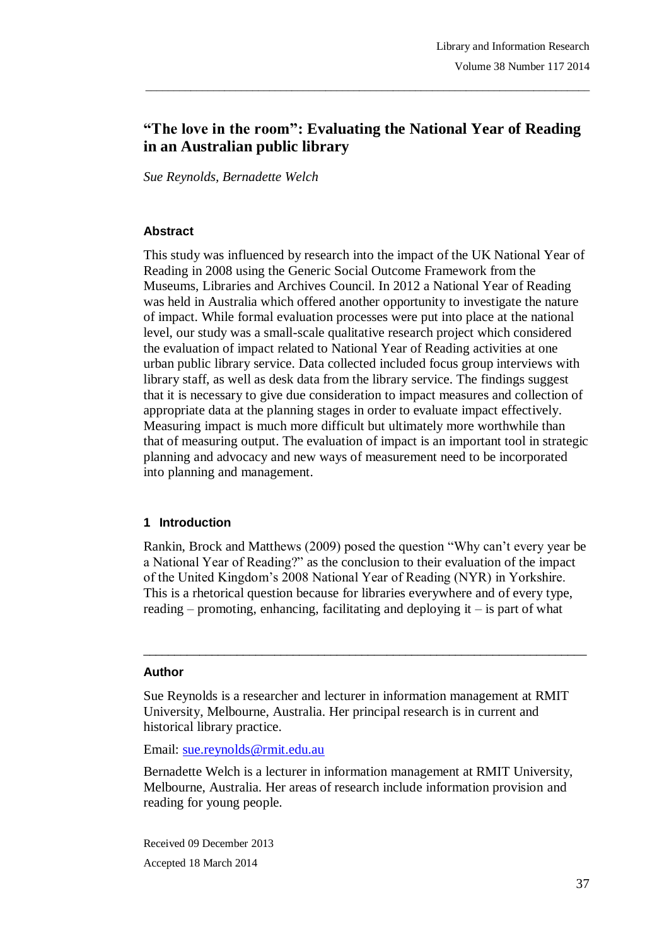# **"The love in the room": Evaluating the National Year of Reading in an Australian public library**

\_\_\_\_\_\_\_\_\_\_\_\_\_\_\_\_\_\_\_\_\_\_\_\_\_\_\_\_\_\_\_\_\_\_\_\_\_\_\_\_\_\_\_\_\_\_\_\_\_\_\_\_\_\_\_\_\_\_\_\_\_\_\_\_\_\_\_\_\_\_\_\_\_\_\_\_\_\_\_

*Sue Reynolds, Bernadette Welch*

#### **Abstract**

This study was influenced by research into the impact of the UK National Year of Reading in 2008 using the Generic Social Outcome Framework from the Museums, Libraries and Archives Council. In 2012 a National Year of Reading was held in Australia which offered another opportunity to investigate the nature of impact. While formal evaluation processes were put into place at the national level, our study was a small-scale qualitative research project which considered the evaluation of impact related to National Year of Reading activities at one urban public library service. Data collected included focus group interviews with library staff, as well as desk data from the library service. The findings suggest that it is necessary to give due consideration to impact measures and collection of appropriate data at the planning stages in order to evaluate impact effectively. Measuring impact is much more difficult but ultimately more worthwhile than that of measuring output. The evaluation of impact is an important tool in strategic planning and advocacy and new ways of measurement need to be incorporated into planning and management.

#### **1 Introduction**

Rankin, Brock and Matthews (2009) posed the question "Why can't every year be a National Year of Reading?" as the conclusion to their evaluation of the impact of the United Kingdom's 2008 National Year of Reading (NYR) in Yorkshire. This is a rhetorical question because for libraries everywhere and of every type, reading – promoting, enhancing, facilitating and deploying it – is part of what

 $\_$  ,  $\_$  ,  $\_$  ,  $\_$  ,  $\_$  ,  $\_$  ,  $\_$  ,  $\_$  ,  $\_$  ,  $\_$  ,  $\_$  ,  $\_$  ,  $\_$  ,  $\_$  ,  $\_$  ,  $\_$  ,  $\_$  ,  $\_$  ,  $\_$ 

#### **Author**

Sue Reynolds is a researcher and lecturer in information management at RMIT University, Melbourne, Australia. Her principal research is in current and historical library practice.

Email: sue.reynolds@rmit.edu.au

Bernadette Welch is a lecturer in information management at RMIT University, Melbourne, Australia. Her areas of research include information provision and reading for young people.

Received 09 December 2013 Accepted 18 March 2014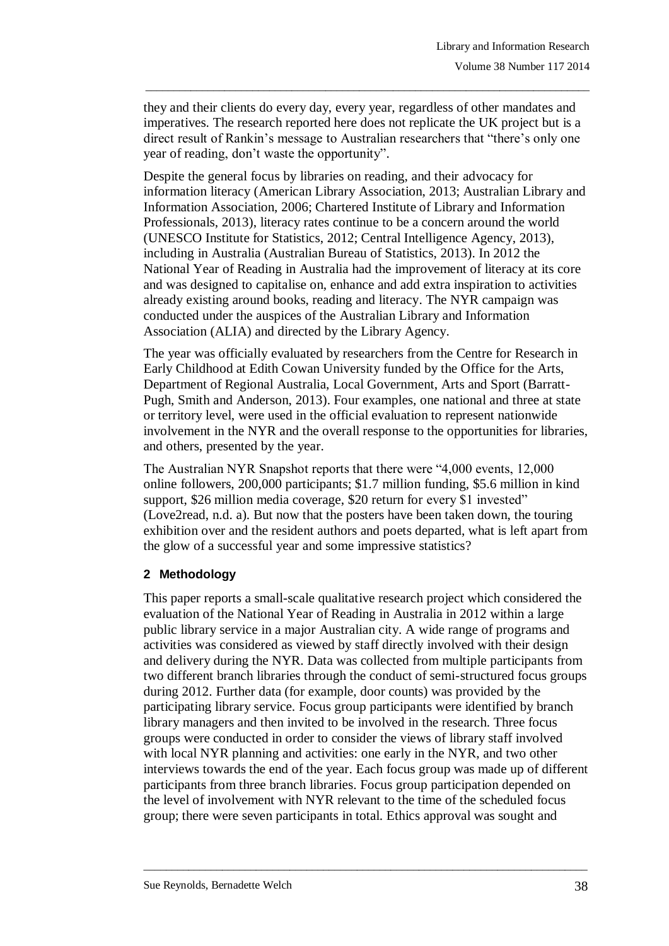they and their clients do every day, every year, regardless of other mandates and imperatives. The research reported here does not replicate the UK project but is a direct result of Rankin's message to Australian researchers that "there's only one year of reading, don't waste the opportunity".

\_\_\_\_\_\_\_\_\_\_\_\_\_\_\_\_\_\_\_\_\_\_\_\_\_\_\_\_\_\_\_\_\_\_\_\_\_\_\_\_\_\_\_\_\_\_\_\_\_\_\_\_\_\_\_\_\_\_\_\_\_\_\_\_\_\_\_\_\_\_\_\_\_\_\_\_\_\_\_

Despite the general focus by libraries on reading, and their advocacy for information literacy (American Library Association, 2013; Australian Library and Information Association, 2006; Chartered Institute of Library and Information Professionals, 2013), literacy rates continue to be a concern around the world (UNESCO Institute for Statistics, 2012; Central Intelligence Agency, 2013), including in Australia (Australian Bureau of Statistics, 2013). In 2012 the National Year of Reading in Australia had the improvement of literacy at its core and was designed to capitalise on, enhance and add extra inspiration to activities already existing around books, reading and literacy. The NYR campaign was conducted under the auspices of the Australian Library and Information Association (ALIA) and directed by the Library Agency.

The year was officially evaluated by researchers from the Centre for Research in Early Childhood at Edith Cowan University funded by the Office for the Arts, Department of Regional Australia, Local Government, Arts and Sport (Barratt-Pugh, Smith and Anderson, 2013). Four examples, one national and three at state or territory level, were used in the official evaluation to represent nationwide involvement in the NYR and the overall response to the opportunities for libraries, and others, presented by the year.

The Australian NYR Snapshot reports that there were "4,000 events, 12,000 online followers, 200,000 participants; \$1.7 million funding, \$5.6 million in kind support, \$26 million media coverage, \$20 return for every \$1 invested" (Love2read, n.d. a). But now that the posters have been taken down, the touring exhibition over and the resident authors and poets departed, what is left apart from the glow of a successful year and some impressive statistics?

### **2 Methodology**

This paper reports a small-scale qualitative research project which considered the evaluation of the National Year of Reading in Australia in 2012 within a large public library service in a major Australian city. A wide range of programs and activities was considered as viewed by staff directly involved with their design and delivery during the NYR. Data was collected from multiple participants from two different branch libraries through the conduct of semi-structured focus groups during 2012. Further data (for example, door counts) was provided by the participating library service. Focus group participants were identified by branch library managers and then invited to be involved in the research. Three focus groups were conducted in order to consider the views of library staff involved with local NYR planning and activities: one early in the NYR, and two other interviews towards the end of the year. Each focus group was made up of different participants from three branch libraries. Focus group participation depended on the level of involvement with NYR relevant to the time of the scheduled focus group; there were seven participants in total. Ethics approval was sought and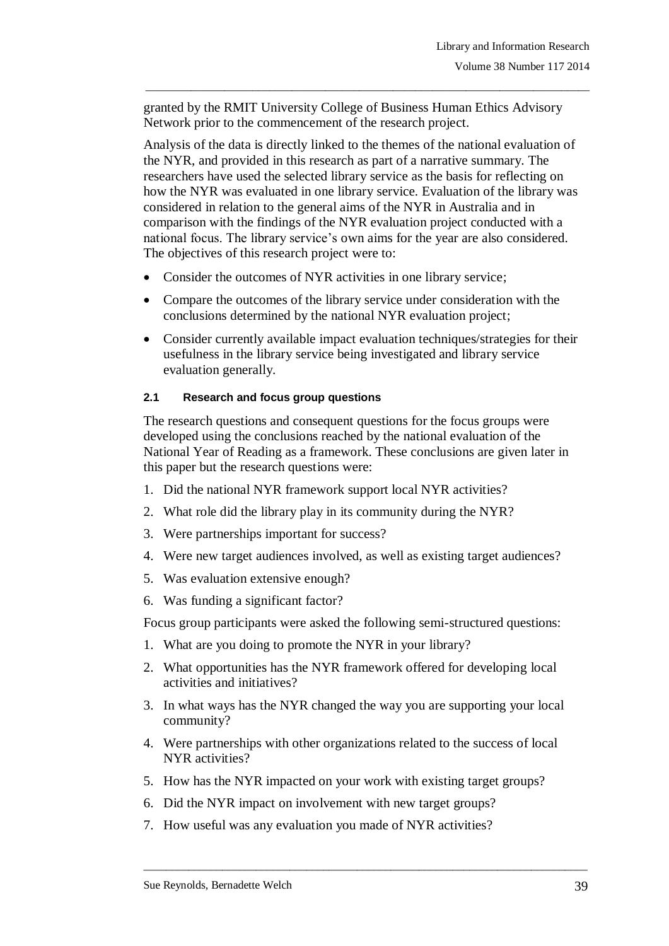granted by the RMIT University College of Business Human Ethics Advisory Network prior to the commencement of the research project.

\_\_\_\_\_\_\_\_\_\_\_\_\_\_\_\_\_\_\_\_\_\_\_\_\_\_\_\_\_\_\_\_\_\_\_\_\_\_\_\_\_\_\_\_\_\_\_\_\_\_\_\_\_\_\_\_\_\_\_\_\_\_\_\_\_\_\_\_\_\_\_\_\_\_\_\_\_\_\_

Analysis of the data is directly linked to the themes of the national evaluation of the NYR, and provided in this research as part of a narrative summary. The researchers have used the selected library service as the basis for reflecting on how the NYR was evaluated in one library service. Evaluation of the library was considered in relation to the general aims of the NYR in Australia and in comparison with the findings of the NYR evaluation project conducted with a national focus. The library service's own aims for the year are also considered. The objectives of this research project were to:

- Consider the outcomes of NYR activities in one library service;
- Compare the outcomes of the library service under consideration with the conclusions determined by the national NYR evaluation project;
- Consider currently available impact evaluation techniques/strategies for their usefulness in the library service being investigated and library service evaluation generally.

#### **2.1 Research and focus group questions**

The research questions and consequent questions for the focus groups were developed using the conclusions reached by the national evaluation of the National Year of Reading as a framework. These conclusions are given later in this paper but the research questions were:

- 1. Did the national NYR framework support local NYR activities?
- 2. What role did the library play in its community during the NYR?
- 3. Were partnerships important for success?
- 4. Were new target audiences involved, as well as existing target audiences?
- 5. Was evaluation extensive enough?
- 6. Was funding a significant factor?

Focus group participants were asked the following semi-structured questions:

- 1. What are you doing to promote the NYR in your library?
- 2. What opportunities has the NYR framework offered for developing local activities and initiatives?
- 3. In what ways has the NYR changed the way you are supporting your local community?
- 4. Were partnerships with other organizations related to the success of local NYR activities?

- 5. How has the NYR impacted on your work with existing target groups?
- 6. Did the NYR impact on involvement with new target groups?
- 7. How useful was any evaluation you made of NYR activities?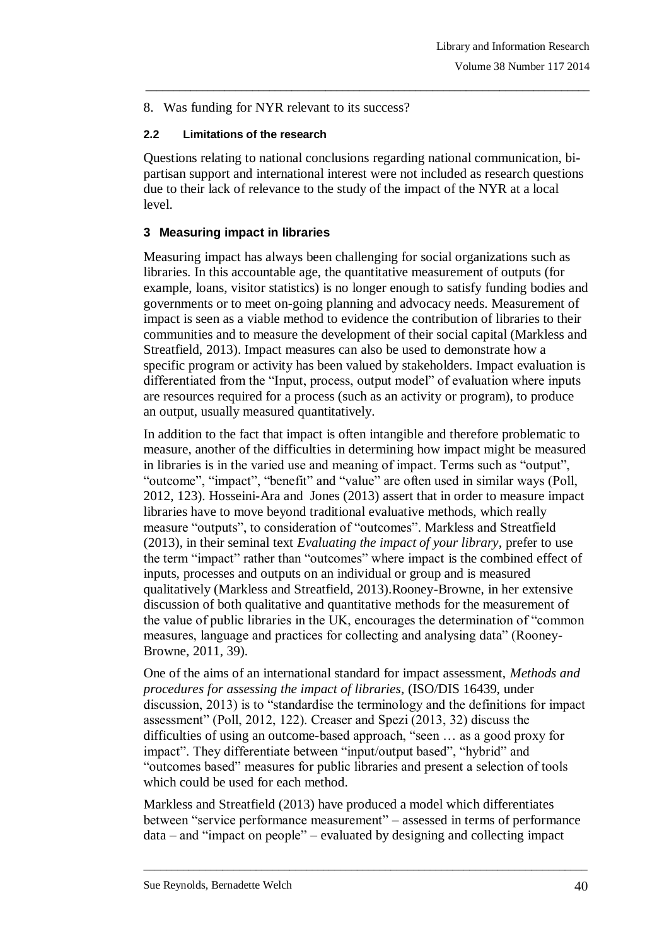8. Was funding for NYR relevant to its success?

#### **2.2 Limitations of the research**

Questions relating to national conclusions regarding national communication, bipartisan support and international interest were not included as research questions due to their lack of relevance to the study of the impact of the NYR at a local level.

\_\_\_\_\_\_\_\_\_\_\_\_\_\_\_\_\_\_\_\_\_\_\_\_\_\_\_\_\_\_\_\_\_\_\_\_\_\_\_\_\_\_\_\_\_\_\_\_\_\_\_\_\_\_\_\_\_\_\_\_\_\_\_\_\_\_\_\_\_\_\_\_\_\_\_\_\_\_\_

#### **3 Measuring impact in libraries**

Measuring impact has always been challenging for social organizations such as libraries. In this accountable age, the quantitative measurement of outputs (for example, loans, visitor statistics) is no longer enough to satisfy funding bodies and governments or to meet on-going planning and advocacy needs. Measurement of impact is seen as a viable method to evidence the contribution of libraries to their communities and to measure the development of their social capital (Markless and Streatfield, 2013). Impact measures can also be used to demonstrate how a specific program or activity has been valued by stakeholders. Impact evaluation is differentiated from the "Input, process, output model" of evaluation where inputs are resources required for a process (such as an activity or program), to produce an output, usually measured quantitatively.

In addition to the fact that impact is often intangible and therefore problematic to measure, another of the difficulties in determining how impact might be measured in libraries is in the varied use and meaning of impact. Terms such as "output", "outcome", "impact", "benefit" and "value" are often used in similar ways (Poll, 2012, 123). Hosseini-Ara and Jones (2013) assert that in order to measure impact libraries have to move beyond traditional evaluative methods, which really measure "outputs", to consideration of "outcomes". Markless and Streatfield (2013), in their seminal text *Evaluating the impact of your library,* prefer to use the term "impact" rather than "outcomes" where impact is the combined effect of inputs, processes and outputs on an individual or group and is measured qualitatively (Markless and Streatfield, 2013).Rooney-Browne, in her extensive discussion of both qualitative and quantitative methods for the measurement of the value of public libraries in the UK, encourages the determination of "common measures, language and practices for collecting and analysing data" (Rooney-Browne, 2011, 39).

One of the aims of an international standard for impact assessment, *Methods and procedures for assessing the impact of libraries*, (ISO/DIS 16439, under discussion, 2013) is to "standardise the terminology and the definitions for impact assessment" (Poll, 2012, 122). Creaser and Spezi (2013, 32) discuss the difficulties of using an outcome-based approach, "seen … as a good proxy for impact". They differentiate between "input/output based", "hybrid" and "outcomes based" measures for public libraries and present a selection of tools which could be used for each method.

Markless and Streatfield (2013) have produced a model which differentiates between "service performance measurement" – assessed in terms of performance data – and "impact on people" – evaluated by designing and collecting impact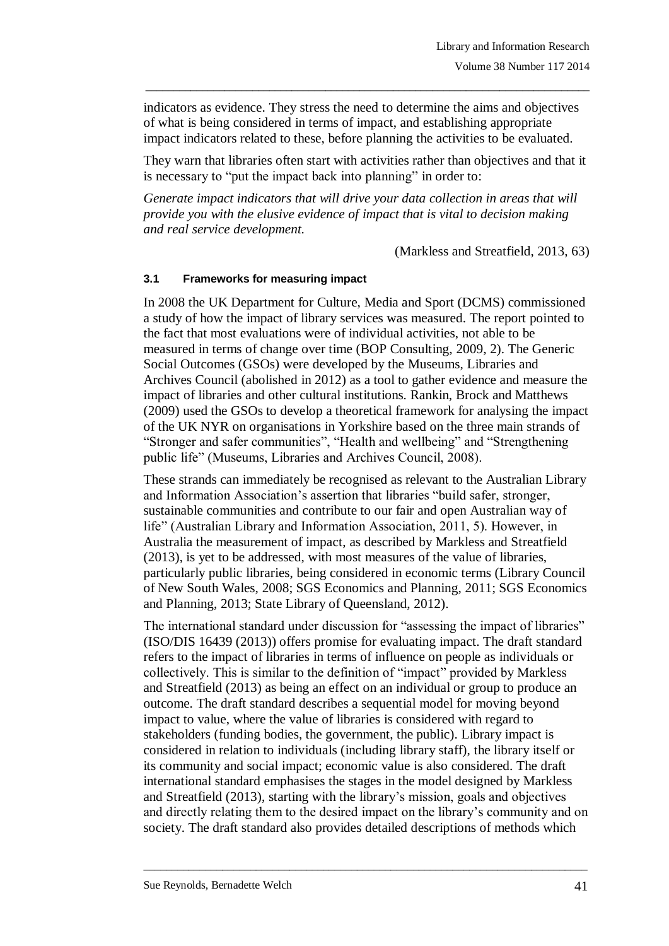indicators as evidence. They stress the need to determine the aims and objectives of what is being considered in terms of impact, and establishing appropriate impact indicators related to these, before planning the activities to be evaluated.

\_\_\_\_\_\_\_\_\_\_\_\_\_\_\_\_\_\_\_\_\_\_\_\_\_\_\_\_\_\_\_\_\_\_\_\_\_\_\_\_\_\_\_\_\_\_\_\_\_\_\_\_\_\_\_\_\_\_\_\_\_\_\_\_\_\_\_\_\_\_\_\_\_\_\_\_\_\_\_

They warn that libraries often start with activities rather than objectives and that it is necessary to "put the impact back into planning" in order to:

*Generate impact indicators that will drive your data collection in areas that will provide you with the elusive evidence of impact that is vital to decision making and real service development.*

(Markless and Streatfield, 2013, 63)

#### **3.1 Frameworks for measuring impact**

In 2008 the UK Department for Culture, Media and Sport (DCMS) commissioned a study of how the impact of library services was measured. The report pointed to the fact that most evaluations were of individual activities, not able to be measured in terms of change over time (BOP Consulting, 2009, 2). The Generic Social Outcomes (GSOs) were developed by the Museums, Libraries and Archives Council (abolished in 2012) as a tool to gather evidence and measure the impact of libraries and other cultural institutions. Rankin, Brock and Matthews (2009) used the GSOs to develop a theoretical framework for analysing the impact of the UK NYR on organisations in Yorkshire based on the three main strands of "Stronger and safer communities", "Health and wellbeing" and "Strengthening public life" (Museums, Libraries and Archives Council, 2008).

These strands can immediately be recognised as relevant to the Australian Library and Information Association's assertion that libraries "build safer, stronger, sustainable communities and contribute to our fair and open Australian way of life" (Australian Library and Information Association, 2011, 5). However, in Australia the measurement of impact, as described by Markless and Streatfield (2013), is yet to be addressed, with most measures of the value of libraries, particularly public libraries, being considered in economic terms (Library Council of New South Wales, 2008; SGS Economics and Planning, 2011; SGS Economics and Planning, 2013; State Library of Queensland, 2012).

The international standard under discussion for "assessing the impact of libraries" (ISO/DIS 16439 (2013)) offers promise for evaluating impact. The draft standard refers to the impact of libraries in terms of influence on people as individuals or collectively. This is similar to the definition of "impact" provided by Markless and Streatfield (2013) as being an effect on an individual or group to produce an outcome. The draft standard describes a sequential model for moving beyond impact to value, where the value of libraries is considered with regard to stakeholders (funding bodies, the government, the public). Library impact is considered in relation to individuals (including library staff), the library itself or its community and social impact; economic value is also considered. The draft international standard emphasises the stages in the model designed by Markless and Streatfield (2013), starting with the library's mission, goals and objectives and directly relating them to the desired impact on the library's community and on society. The draft standard also provides detailed descriptions of methods which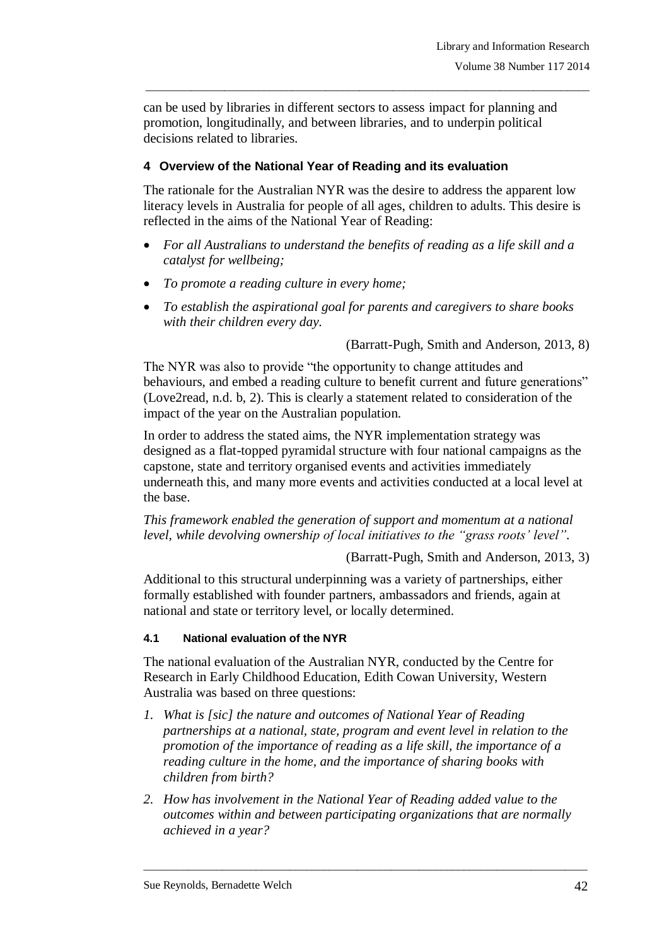can be used by libraries in different sectors to assess impact for planning and promotion, longitudinally, and between libraries, and to underpin political decisions related to libraries.

\_\_\_\_\_\_\_\_\_\_\_\_\_\_\_\_\_\_\_\_\_\_\_\_\_\_\_\_\_\_\_\_\_\_\_\_\_\_\_\_\_\_\_\_\_\_\_\_\_\_\_\_\_\_\_\_\_\_\_\_\_\_\_\_\_\_\_\_\_\_\_\_\_\_\_\_\_\_\_

# **4 Overview of the National Year of Reading and its evaluation**

The rationale for the Australian NYR was the desire to address the apparent low literacy levels in Australia for people of all ages, children to adults. This desire is reflected in the aims of the National Year of Reading:

- *For all Australians to understand the benefits of reading as a life skill and a catalyst for wellbeing;*
- *To promote a reading culture in every home;*
- *To establish the aspirational goal for parents and caregivers to share books with their children every day.*

(Barratt-Pugh, Smith and Anderson, 2013, 8)

The NYR was also to provide "the opportunity to change attitudes and behaviours, and embed a reading culture to benefit current and future generations" (Love2read, n.d. b, 2). This is clearly a statement related to consideration of the impact of the year on the Australian population.

In order to address the stated aims, the NYR implementation strategy was designed as a flat-topped pyramidal structure with four national campaigns as the capstone, state and territory organised events and activities immediately underneath this, and many more events and activities conducted at a local level at the base.

*This framework enabled the generation of support and momentum at a national level, while devolving ownership of local initiatives to the "grass roots' level".*

(Barratt-Pugh, Smith and Anderson, 2013, 3)

Additional to this structural underpinning was a variety of partnerships, either formally established with founder partners, ambassadors and friends, again at national and state or territory level, or locally determined.

### **4.1 National evaluation of the NYR**

The national evaluation of the Australian NYR, conducted by the Centre for Research in Early Childhood Education, Edith Cowan University, Western Australia was based on three questions:

- *1. What is [sic] the nature and outcomes of National Year of Reading partnerships at a national, state, program and event level in relation to the promotion of the importance of reading as a life skill, the importance of a reading culture in the home, and the importance of sharing books with children from birth?*
- *2. How has involvement in the National Year of Reading added value to the outcomes within and between participating organizations that are normally achieved in a year?*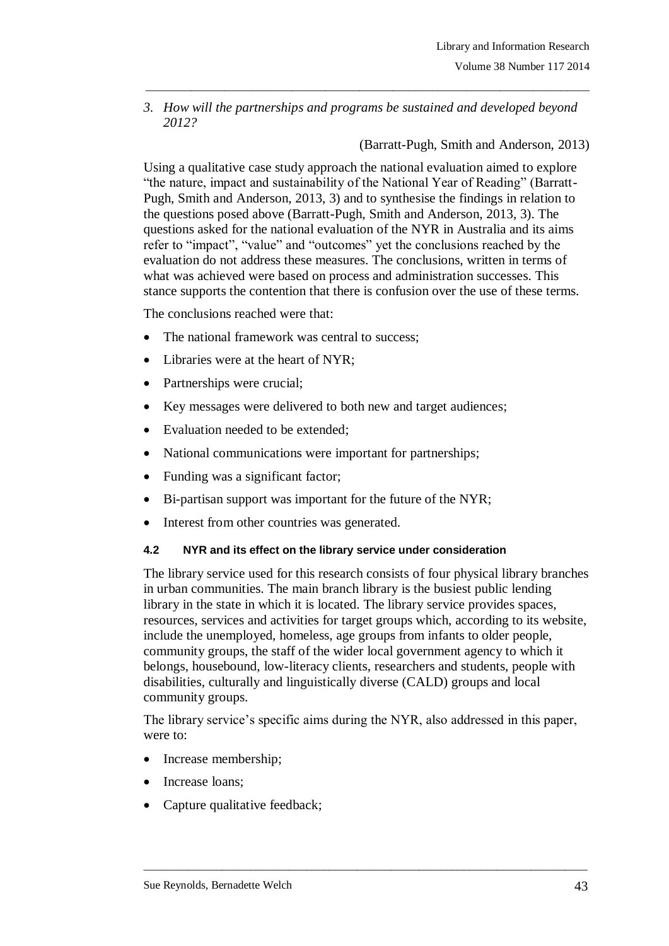*3. How will the partnerships and programs be sustained and developed beyond 2012?*

\_\_\_\_\_\_\_\_\_\_\_\_\_\_\_\_\_\_\_\_\_\_\_\_\_\_\_\_\_\_\_\_\_\_\_\_\_\_\_\_\_\_\_\_\_\_\_\_\_\_\_\_\_\_\_\_\_\_\_\_\_\_\_\_\_\_\_\_\_\_\_\_\_\_\_\_\_\_\_

(Barratt-Pugh, Smith and Anderson, 2013)

Using a qualitative case study approach the national evaluation aimed to explore "the nature, impact and sustainability of the National Year of Reading" (Barratt-Pugh, Smith and Anderson, 2013, 3) and to synthesise the findings in relation to the questions posed above (Barratt-Pugh, Smith and Anderson, 2013, 3). The questions asked for the national evaluation of the NYR in Australia and its aims refer to "impact", "value" and "outcomes" yet the conclusions reached by the evaluation do not address these measures. The conclusions, written in terms of what was achieved were based on process and administration successes. This stance supports the contention that there is confusion over the use of these terms.

The conclusions reached were that:

- The national framework was central to success;
- Libraries were at the heart of NYR;
- Partnerships were crucial;
- Key messages were delivered to both new and target audiences;
- Evaluation needed to be extended;
- National communications were important for partnerships;
- Funding was a significant factor;
- Bi-partisan support was important for the future of the NYR;
- Interest from other countries was generated.

#### **4.2 NYR and its effect on the library service under consideration**

The library service used for this research consists of four physical library branches in urban communities. The main branch library is the busiest public lending library in the state in which it is located. The library service provides spaces, resources, services and activities for target groups which, according to its website, include the unemployed, homeless, age groups from infants to older people, community groups, the staff of the wider local government agency to which it belongs, housebound, low-literacy clients, researchers and students, people with disabilities, culturally and linguistically diverse (CALD) groups and local community groups.

The library service's specific aims during the NYR, also addressed in this paper, were to:

- Increase membership;
- Increase loans:
- Capture qualitative feedback;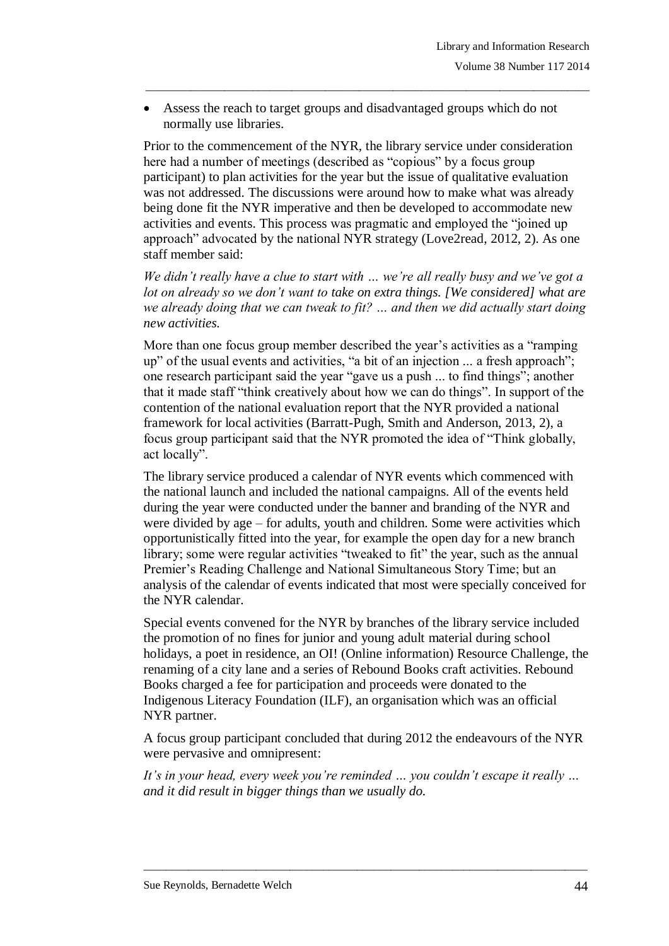Assess the reach to target groups and disadvantaged groups which do not normally use libraries.

\_\_\_\_\_\_\_\_\_\_\_\_\_\_\_\_\_\_\_\_\_\_\_\_\_\_\_\_\_\_\_\_\_\_\_\_\_\_\_\_\_\_\_\_\_\_\_\_\_\_\_\_\_\_\_\_\_\_\_\_\_\_\_\_\_\_\_\_\_\_\_\_\_\_\_\_\_\_\_

Prior to the commencement of the NYR, the library service under consideration here had a number of meetings (described as "copious" by a focus group participant) to plan activities for the year but the issue of qualitative evaluation was not addressed. The discussions were around how to make what was already being done fit the NYR imperative and then be developed to accommodate new activities and events. This process was pragmatic and employed the "joined up approach" advocated by the national NYR strategy (Love2read, 2012, 2). As one staff member said:

*We didn't really have a clue to start with … we're all really busy and we've got a lot on already so we don't want to take on extra things. [We considered] what are we already doing that we can tweak to fit? … and then we did actually start doing new activities.*

More than one focus group member described the year's activities as a "ramping up" of the usual events and activities, "a bit of an injection ... a fresh approach"; one research participant said the year "gave us a push ... to find things"; another that it made staff "think creatively about how we can do things". In support of the contention of the national evaluation report that the NYR provided a national framework for local activities (Barratt-Pugh, Smith and Anderson, 2013, 2), a focus group participant said that the NYR promoted the idea of "Think globally, act locally".

The library service produced a calendar of NYR events which commenced with the national launch and included the national campaigns. All of the events held during the year were conducted under the banner and branding of the NYR and were divided by age – for adults, youth and children. Some were activities which opportunistically fitted into the year, for example the open day for a new branch library; some were regular activities "tweaked to fit" the year, such as the annual Premier's Reading Challenge and National Simultaneous Story Time; but an analysis of the calendar of events indicated that most were specially conceived for the NYR calendar.

Special events convened for the NYR by branches of the library service included the promotion of no fines for junior and young adult material during school holidays, a poet in residence, an OI! (Online information) Resource Challenge, the renaming of a city lane and a series of Rebound Books craft activities. Rebound Books charged a fee for participation and proceeds were donated to the Indigenous Literacy Foundation (ILF), an organisation which was an official NYR partner.

A focus group participant concluded that during 2012 the endeavours of the NYR were pervasive and omnipresent:

*It's in your head, every week you're reminded … you couldn't escape it really … and it did result in bigger things than we usually do.*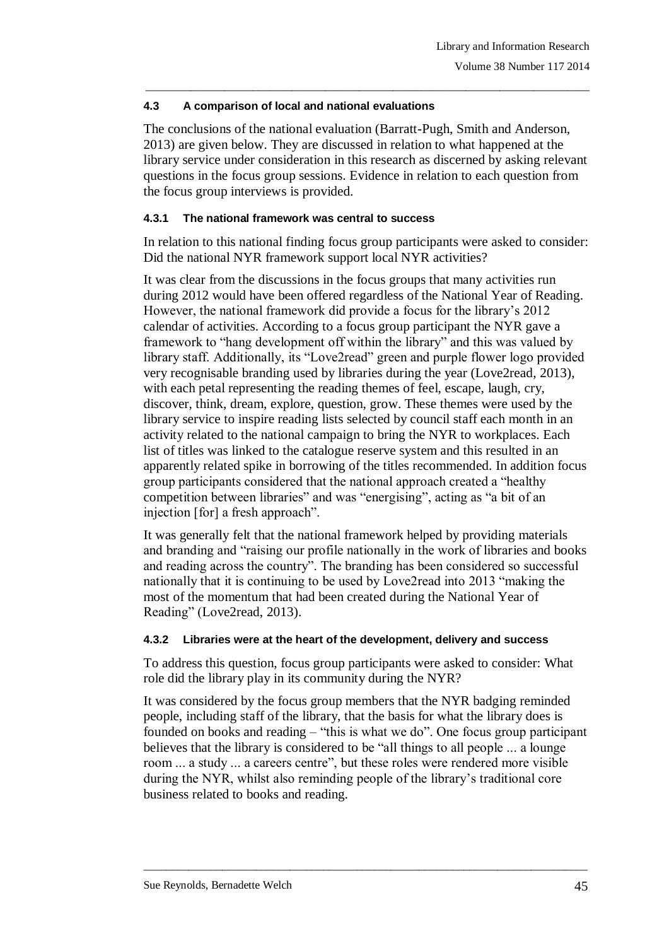### **4.3 A comparison of local and national evaluations**

The conclusions of the national evaluation (Barratt-Pugh, Smith and Anderson, 2013) are given below. They are discussed in relation to what happened at the library service under consideration in this research as discerned by asking relevant questions in the focus group sessions. Evidence in relation to each question from the focus group interviews is provided.

\_\_\_\_\_\_\_\_\_\_\_\_\_\_\_\_\_\_\_\_\_\_\_\_\_\_\_\_\_\_\_\_\_\_\_\_\_\_\_\_\_\_\_\_\_\_\_\_\_\_\_\_\_\_\_\_\_\_\_\_\_\_\_\_\_\_\_\_\_\_\_\_\_\_\_\_\_\_\_

### **4.3.1 The national framework was central to success**

In relation to this national finding focus group participants were asked to consider: Did the national NYR framework support local NYR activities?

It was clear from the discussions in the focus groups that many activities run during 2012 would have been offered regardless of the National Year of Reading. However, the national framework did provide a focus for the library's 2012 calendar of activities. According to a focus group participant the NYR gave a framework to "hang development off within the library" and this was valued by library staff. Additionally, its "Love2read" green and purple flower logo provided very recognisable branding used by libraries during the year (Love2read, 2013), with each petal representing the reading themes of feel, escape, laugh, cry, discover, think, dream, explore, question, grow. These themes were used by the library service to inspire reading lists selected by council staff each month in an activity related to the national campaign to bring the NYR to workplaces. Each list of titles was linked to the catalogue reserve system and this resulted in an apparently related spike in borrowing of the titles recommended. In addition focus group participants considered that the national approach created a "healthy competition between libraries" and was "energising", acting as "a bit of an injection [for] a fresh approach".

It was generally felt that the national framework helped by providing materials and branding and "raising our profile nationally in the work of libraries and books and reading across the country". The branding has been considered so successful nationally that it is continuing to be used by Love2read into 2013 "making the most of the momentum that had been created during the National Year of Reading" (Love2read, 2013).

# **4.3.2 Libraries were at the heart of the development, delivery and success**

To address this question, focus group participants were asked to consider: What role did the library play in its community during the NYR?

It was considered by the focus group members that the NYR badging reminded people, including staff of the library, that the basis for what the library does is founded on books and reading – "this is what we do". One focus group participant believes that the library is considered to be "all things to all people ... a lounge room ... a study ... a careers centre", but these roles were rendered more visible during the NYR, whilst also reminding people of the library's traditional core business related to books and reading.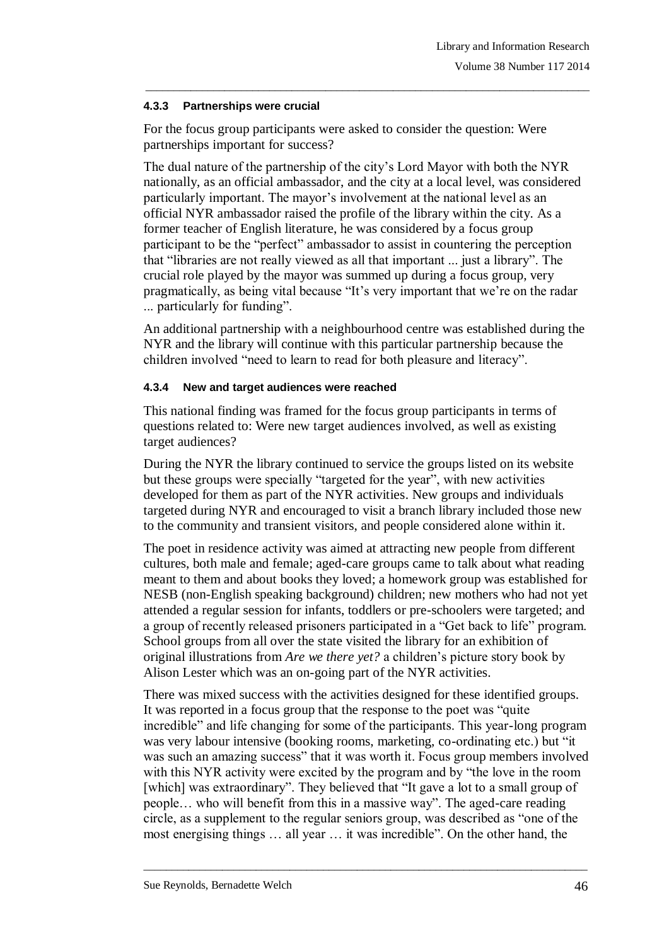### **4.3.3 Partnerships were crucial**

For the focus group participants were asked to consider the question: Were partnerships important for success?

\_\_\_\_\_\_\_\_\_\_\_\_\_\_\_\_\_\_\_\_\_\_\_\_\_\_\_\_\_\_\_\_\_\_\_\_\_\_\_\_\_\_\_\_\_\_\_\_\_\_\_\_\_\_\_\_\_\_\_\_\_\_\_\_\_\_\_\_\_\_\_\_\_\_\_\_\_\_\_

The dual nature of the partnership of the city's Lord Mayor with both the NYR nationally, as an official ambassador, and the city at a local level, was considered particularly important. The mayor's involvement at the national level as an official NYR ambassador raised the profile of the library within the city. As a former teacher of English literature, he was considered by a focus group participant to be the "perfect" ambassador to assist in countering the perception that "libraries are not really viewed as all that important ... just a library". The crucial role played by the mayor was summed up during a focus group, very pragmatically, as being vital because "It's very important that we're on the radar ... particularly for funding".

An additional partnership with a neighbourhood centre was established during the NYR and the library will continue with this particular partnership because the children involved "need to learn to read for both pleasure and literacy".

### **4.3.4 New and target audiences were reached**

This national finding was framed for the focus group participants in terms of questions related to: Were new target audiences involved, as well as existing target audiences?

During the NYR the library continued to service the groups listed on its website but these groups were specially "targeted for the year", with new activities developed for them as part of the NYR activities. New groups and individuals targeted during NYR and encouraged to visit a branch library included those new to the community and transient visitors, and people considered alone within it.

The poet in residence activity was aimed at attracting new people from different cultures, both male and female; aged-care groups came to talk about what reading meant to them and about books they loved; a homework group was established for NESB (non-English speaking background) children; new mothers who had not yet attended a regular session for infants, toddlers or pre-schoolers were targeted; and a group of recently released prisoners participated in a "Get back to life" program. School groups from all over the state visited the library for an exhibition of original illustrations from *Are we there yet?* a children's picture story book by Alison Lester which was an on-going part of the NYR activities.

There was mixed success with the activities designed for these identified groups. It was reported in a focus group that the response to the poet was "quite incredible" and life changing for some of the participants. This year-long program was very labour intensive (booking rooms, marketing, co-ordinating etc.) but "it was such an amazing success" that it was worth it. Focus group members involved with this NYR activity were excited by the program and by "the love in the room [which] was extraordinary". They believed that "It gave a lot to a small group of people… who will benefit from this in a massive way". The aged-care reading circle, as a supplement to the regular seniors group, was described as "one of the most energising things … all year … it was incredible". On the other hand, the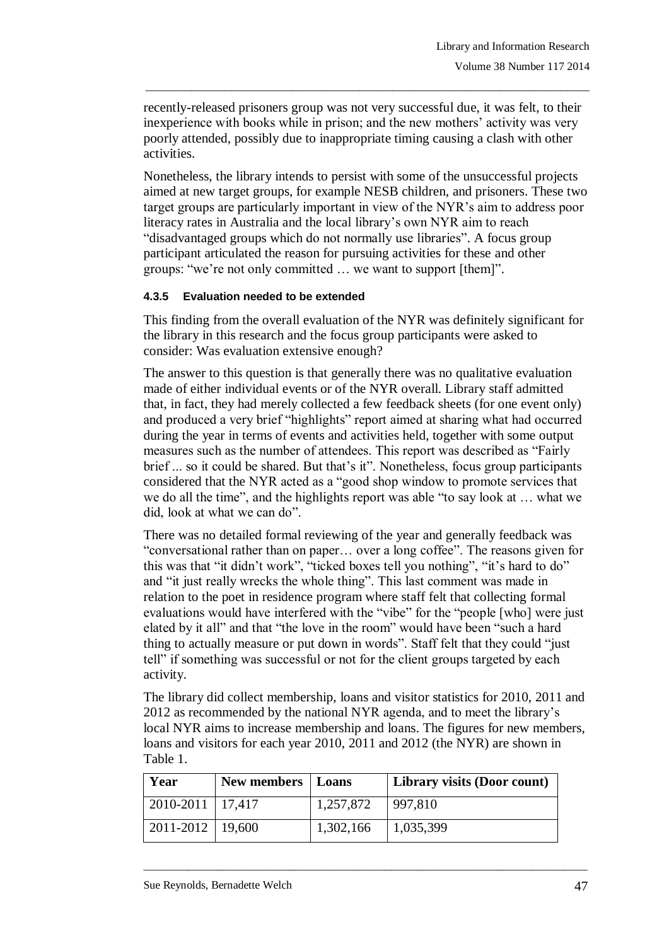recently-released prisoners group was not very successful due, it was felt, to their inexperience with books while in prison; and the new mothers' activity was very poorly attended, possibly due to inappropriate timing causing a clash with other activities.

\_\_\_\_\_\_\_\_\_\_\_\_\_\_\_\_\_\_\_\_\_\_\_\_\_\_\_\_\_\_\_\_\_\_\_\_\_\_\_\_\_\_\_\_\_\_\_\_\_\_\_\_\_\_\_\_\_\_\_\_\_\_\_\_\_\_\_\_\_\_\_\_\_\_\_\_\_\_\_

Nonetheless, the library intends to persist with some of the unsuccessful projects aimed at new target groups, for example NESB children, and prisoners. These two target groups are particularly important in view of the NYR's aim to address poor literacy rates in Australia and the local library's own NYR aim to reach "disadvantaged groups which do not normally use libraries". A focus group participant articulated the reason for pursuing activities for these and other groups: "we're not only committed … we want to support [them]".

### **4.3.5 Evaluation needed to be extended**

This finding from the overall evaluation of the NYR was definitely significant for the library in this research and the focus group participants were asked to consider: Was evaluation extensive enough?

The answer to this question is that generally there was no qualitative evaluation made of either individual events or of the NYR overall. Library staff admitted that, in fact, they had merely collected a few feedback sheets (for one event only) and produced a very brief "highlights" report aimed at sharing what had occurred during the year in terms of events and activities held, together with some output measures such as the number of attendees. This report was described as "Fairly brief ... so it could be shared. But that's it". Nonetheless, focus group participants considered that the NYR acted as a "good shop window to promote services that we do all the time", and the highlights report was able "to say look at … what we did, look at what we can do".

There was no detailed formal reviewing of the year and generally feedback was "conversational rather than on paper… over a long coffee". The reasons given for this was that "it didn't work", "ticked boxes tell you nothing", "it's hard to do" and "it just really wrecks the whole thing". This last comment was made in relation to the poet in residence program where staff felt that collecting formal evaluations would have interfered with the "vibe" for the "people [who] were just elated by it all" and that "the love in the room" would have been "such a hard thing to actually measure or put down in words". Staff felt that they could "just tell" if something was successful or not for the client groups targeted by each activity.

The library did collect membership, loans and visitor statistics for 2010, 2011 and 2012 as recommended by the national NYR agenda, and to meet the library's local NYR aims to increase membership and loans. The figures for new members, loans and visitors for each year 2010, 2011 and 2012 (the NYR) are shown in Table 1.

| Year                   | New members   Loans |           | Library visits (Door count) |
|------------------------|---------------------|-----------|-----------------------------|
| 2010-2011   17,417     |                     | 1,257,872 | 997,810                     |
| $2011 - 2012$   19,600 |                     | 1,302,166 | 1,035,399                   |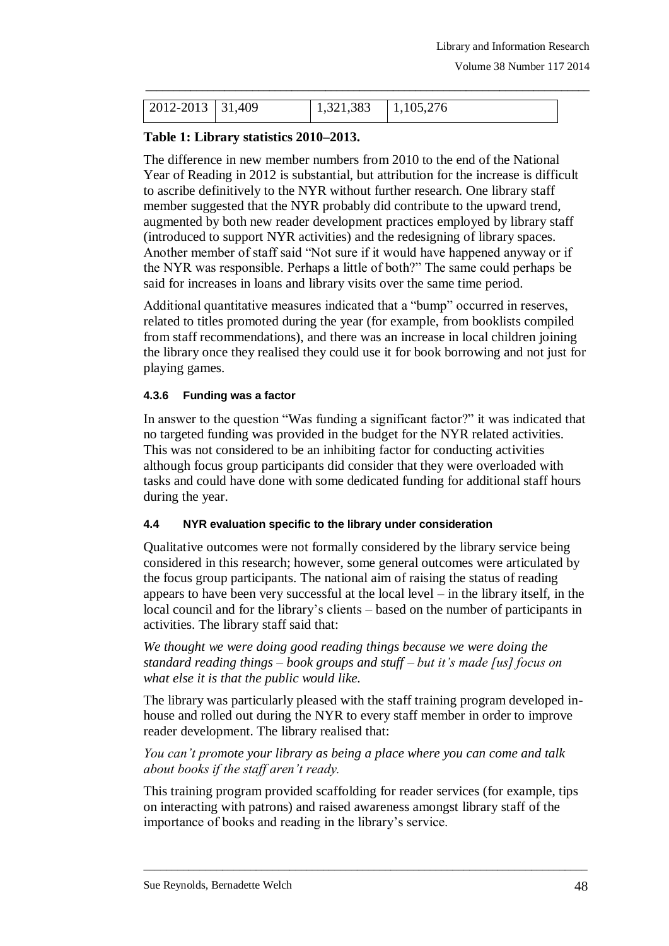| $2012 - 2013$ 31,409 | $\vert 1,321,383 \vert 1,105,276 \vert$ |  |
|----------------------|-----------------------------------------|--|

\_\_\_\_\_\_\_\_\_\_\_\_\_\_\_\_\_\_\_\_\_\_\_\_\_\_\_\_\_\_\_\_\_\_\_\_\_\_\_\_\_\_\_\_\_\_\_\_\_\_\_\_\_\_\_\_\_\_\_\_\_\_\_\_\_\_\_\_\_\_\_\_\_\_\_\_\_\_\_

# **Table 1: Library statistics 2010–2013.**

The difference in new member numbers from 2010 to the end of the National Year of Reading in 2012 is substantial, but attribution for the increase is difficult to ascribe definitively to the NYR without further research. One library staff member suggested that the NYR probably did contribute to the upward trend, augmented by both new reader development practices employed by library staff (introduced to support NYR activities) and the redesigning of library spaces. Another member of staff said "Not sure if it would have happened anyway or if the NYR was responsible. Perhaps a little of both?" The same could perhaps be said for increases in loans and library visits over the same time period.

Additional quantitative measures indicated that a "bump" occurred in reserves, related to titles promoted during the year (for example, from booklists compiled from staff recommendations), and there was an increase in local children joining the library once they realised they could use it for book borrowing and not just for playing games.

### **4.3.6 Funding was a factor**

In answer to the question "Was funding a significant factor?" it was indicated that no targeted funding was provided in the budget for the NYR related activities. This was not considered to be an inhibiting factor for conducting activities although focus group participants did consider that they were overloaded with tasks and could have done with some dedicated funding for additional staff hours during the year.

#### **4.4 NYR evaluation specific to the library under consideration**

Qualitative outcomes were not formally considered by the library service being considered in this research; however, some general outcomes were articulated by the focus group participants. The national aim of raising the status of reading appears to have been very successful at the local level – in the library itself, in the local council and for the library's clients – based on the number of participants in activities. The library staff said that:

*We thought we were doing good reading things because we were doing the standard reading things – book groups and stuff – but it's made [us] focus on what else it is that the public would like.*

The library was particularly pleased with the staff training program developed inhouse and rolled out during the NYR to every staff member in order to improve reader development. The library realised that:

*You can't promote your library as being a place where you can come and talk about books if the staff aren't ready.*

This training program provided scaffolding for reader services (for example, tips on interacting with patrons) and raised awareness amongst library staff of the importance of books and reading in the library's service.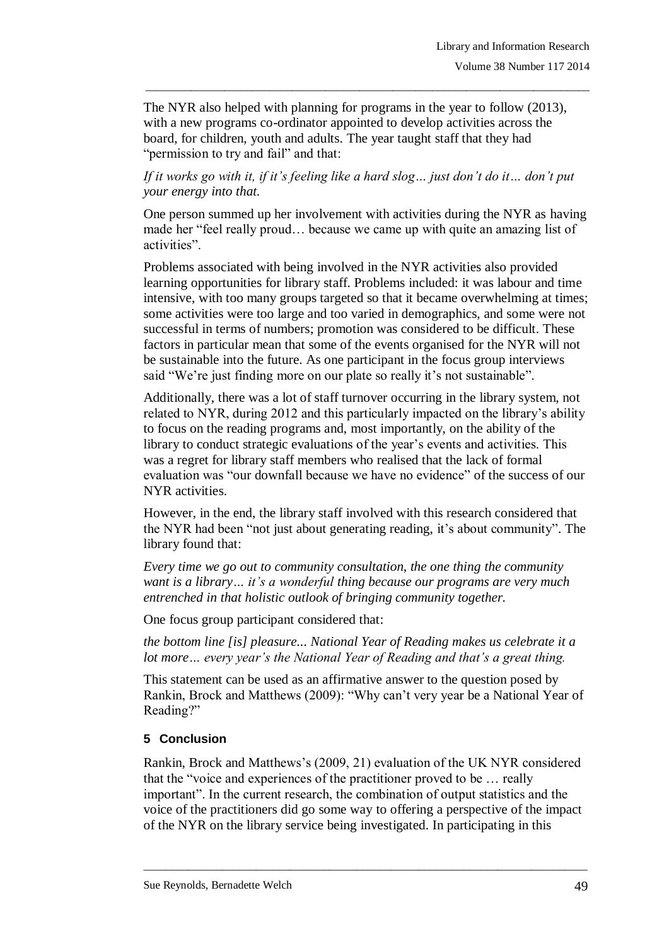The NYR also helped with planning for programs in the year to follow (2013), with a new programs co-ordinator appointed to develop activities across the board, for children, youth and adults. The year taught staff that they had "permission to try and fail" and that:

\_\_\_\_\_\_\_\_\_\_\_\_\_\_\_\_\_\_\_\_\_\_\_\_\_\_\_\_\_\_\_\_\_\_\_\_\_\_\_\_\_\_\_\_\_\_\_\_\_\_\_\_\_\_\_\_\_\_\_\_\_\_\_\_\_\_\_\_\_\_\_\_\_\_\_\_\_\_\_

*If it works go with it, if it's feeling like a hard slog… just don't do it… don't put your energy into that.*

One person summed up her involvement with activities during the NYR as having made her "feel really proud… because we came up with quite an amazing list of activities".

Problems associated with being involved in the NYR activities also provided learning opportunities for library staff. Problems included: it was labour and time intensive, with too many groups targeted so that it became overwhelming at times; some activities were too large and too varied in demographics, and some were not successful in terms of numbers; promotion was considered to be difficult. These factors in particular mean that some of the events organised for the NYR will not be sustainable into the future. As one participant in the focus group interviews said "We're just finding more on our plate so really it's not sustainable".

Additionally, there was a lot of staff turnover occurring in the library system, not related to NYR, during 2012 and this particularly impacted on the library's ability to focus on the reading programs and, most importantly, on the ability of the library to conduct strategic evaluations of the year's events and activities. This was a regret for library staff members who realised that the lack of formal evaluation was "our downfall because we have no evidence" of the success of our NYR activities.

However, in the end, the library staff involved with this research considered that the NYR had been "not just about generating reading, it's about community". The library found that:

*Every time we go out to community consultation, the one thing the community want is a library… it's a wonderful thing because our programs are very much entrenched in that holistic outlook of bringing community together.*

One focus group participant considered that:

*the bottom line [is] pleasure... National Year of Reading makes us celebrate it a lot more… every year's the National Year of Reading and that's a great thing.* 

This statement can be used as an affirmative answer to the question posed by Rankin, Brock and Matthews (2009): "Why can't very year be a National Year of Reading?"

### **5 Conclusion**

Rankin, Brock and Matthews's (2009, 21) evaluation of the UK NYR considered that the "voice and experiences of the practitioner proved to be … really important". In the current research, the combination of output statistics and the voice of the practitioners did go some way to offering a perspective of the impact of the NYR on the library service being investigated. In participating in this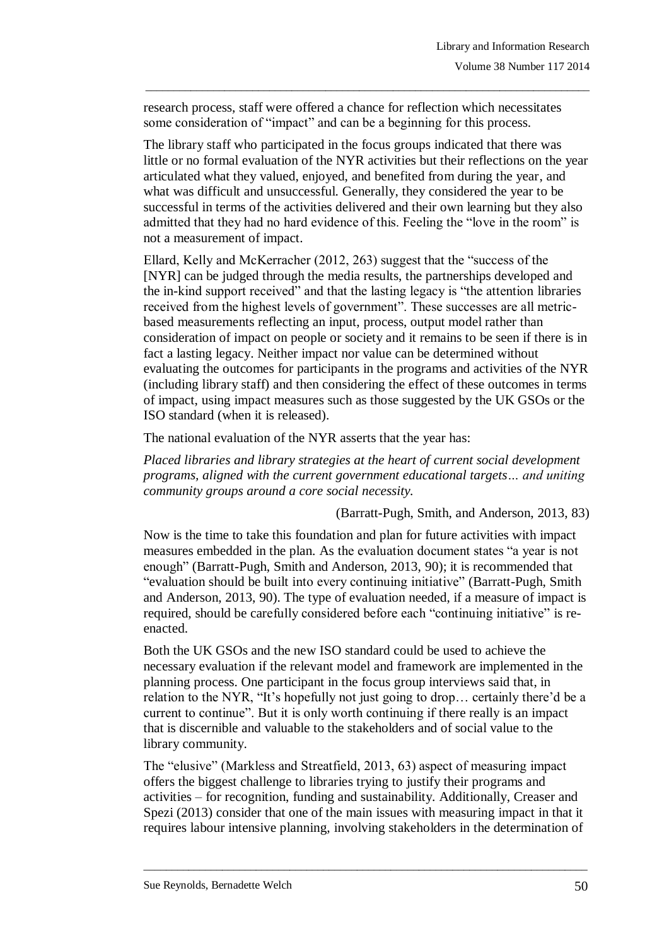research process, staff were offered a chance for reflection which necessitates some consideration of "impact" and can be a beginning for this process.

\_\_\_\_\_\_\_\_\_\_\_\_\_\_\_\_\_\_\_\_\_\_\_\_\_\_\_\_\_\_\_\_\_\_\_\_\_\_\_\_\_\_\_\_\_\_\_\_\_\_\_\_\_\_\_\_\_\_\_\_\_\_\_\_\_\_\_\_\_\_\_\_\_\_\_\_\_\_\_

The library staff who participated in the focus groups indicated that there was little or no formal evaluation of the NYR activities but their reflections on the year articulated what they valued, enjoyed, and benefited from during the year, and what was difficult and unsuccessful. Generally, they considered the year to be successful in terms of the activities delivered and their own learning but they also admitted that they had no hard evidence of this. Feeling the "love in the room" is not a measurement of impact.

Ellard, Kelly and McKerracher (2012, 263) suggest that the "success of the [NYR] can be judged through the media results, the partnerships developed and the in-kind support received" and that the lasting legacy is "the attention libraries received from the highest levels of government". These successes are all metricbased measurements reflecting an input, process, output model rather than consideration of impact on people or society and it remains to be seen if there is in fact a lasting legacy. Neither impact nor value can be determined without evaluating the outcomes for participants in the programs and activities of the NYR (including library staff) and then considering the effect of these outcomes in terms of impact, using impact measures such as those suggested by the UK GSOs or the ISO standard (when it is released).

The national evaluation of the NYR asserts that the year has:

*Placed libraries and library strategies at the heart of current social development programs, aligned with the current government educational targets… and uniting community groups around a core social necessity.*

(Barratt-Pugh, Smith, and Anderson, 2013, 83)

Now is the time to take this foundation and plan for future activities with impact measures embedded in the plan. As the evaluation document states "a year is not enough" (Barratt-Pugh, Smith and Anderson, 2013, 90); it is recommended that "evaluation should be built into every continuing initiative" (Barratt-Pugh, Smith and Anderson, 2013, 90). The type of evaluation needed, if a measure of impact is required, should be carefully considered before each "continuing initiative" is reenacted.

Both the UK GSOs and the new ISO standard could be used to achieve the necessary evaluation if the relevant model and framework are implemented in the planning process. One participant in the focus group interviews said that, in relation to the NYR, "It's hopefully not just going to drop… certainly there'd be a current to continue". But it is only worth continuing if there really is an impact that is discernible and valuable to the stakeholders and of social value to the library community.

The "elusive" (Markless and Streatfield, 2013, 63) aspect of measuring impact offers the biggest challenge to libraries trying to justify their programs and activities – for recognition, funding and sustainability. Additionally, Creaser and Spezi (2013) consider that one of the main issues with measuring impact in that it requires labour intensive planning, involving stakeholders in the determination of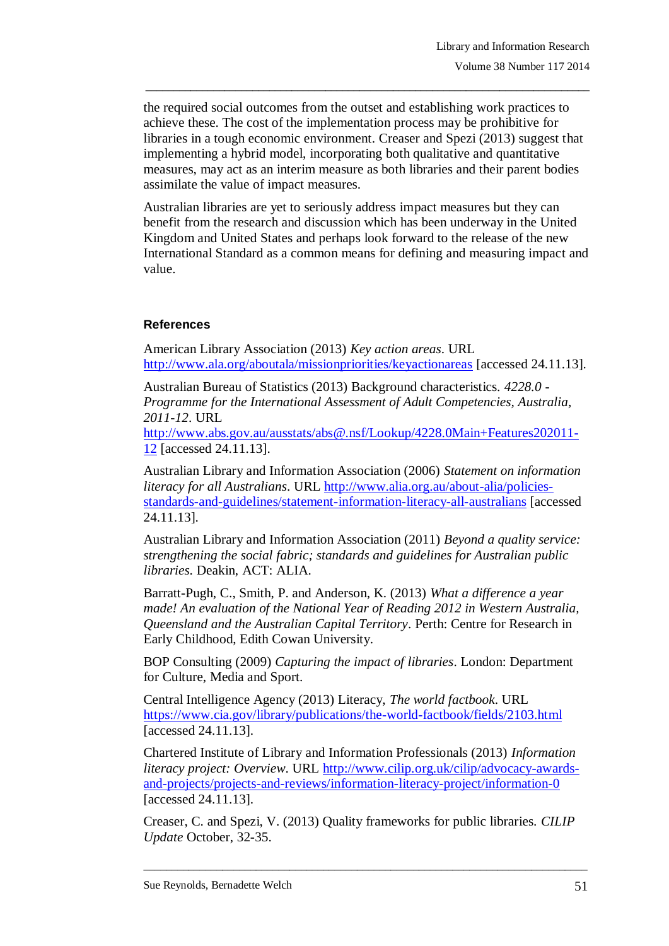the required social outcomes from the outset and establishing work practices to achieve these. The cost of the implementation process may be prohibitive for libraries in a tough economic environment. Creaser and Spezi (2013) suggest that implementing a hybrid model, incorporating both qualitative and quantitative measures, may act as an interim measure as both libraries and their parent bodies assimilate the value of impact measures.

\_\_\_\_\_\_\_\_\_\_\_\_\_\_\_\_\_\_\_\_\_\_\_\_\_\_\_\_\_\_\_\_\_\_\_\_\_\_\_\_\_\_\_\_\_\_\_\_\_\_\_\_\_\_\_\_\_\_\_\_\_\_\_\_\_\_\_\_\_\_\_\_\_\_\_\_\_\_\_

Australian libraries are yet to seriously address impact measures but they can benefit from the research and discussion which has been underway in the United Kingdom and United States and perhaps look forward to the release of the new International Standard as a common means for defining and measuring impact and value.

# **References**

American Library Association (2013) *Key action areas*. URL <http://www.ala.org/aboutala/missionpriorities/keyactionareas> [accessed 24.11.13].

Australian Bureau of Statistics (2013) Background characteristics. *4228.0 - Programme for the International Assessment of Adult Competencies, Australia, 2011-12*. URL

[http://www.abs.gov.au/ausstats/abs@.nsf/Lookup/4228.0Main+Features202011-](http://www.abs.gov.au/ausstats/abs@.nsf/Lookup/4228.0Main+Features202011-12) [12](http://www.abs.gov.au/ausstats/abs@.nsf/Lookup/4228.0Main+Features202011-12) [accessed 24.11.13].

Australian Library and Information Association (2006) *Statement on information literacy for all Australians*. URL [http://www.alia.org.au/about-alia/policies](http://www.alia.org.au/about-alia/policies-standards-and-guidelines/statement-information-literacy-all-australians)[standards-and-guidelines/statement-information-literacy-all-australians](http://www.alia.org.au/about-alia/policies-standards-and-guidelines/statement-information-literacy-all-australians) [accessed 24.11.13].

Australian Library and Information Association (2011) *Beyond a quality service: strengthening the social fabric; standards and guidelines for Australian public libraries*. Deakin, ACT: ALIA.

Barratt-Pugh, C., Smith, P. and Anderson, K. (2013) *What a difference a year made! An evaluation of the National Year of Reading 2012 in Western Australia, Queensland and the Australian Capital Territory*. Perth: Centre for Research in Early Childhood, Edith Cowan University.

BOP Consulting (2009) *Capturing the impact of libraries*. London: Department for Culture, Media and Sport.

Central Intelligence Agency (2013) Literacy, *The world factbook*. URL <https://www.cia.gov/library/publications/the-world-factbook/fields/2103.html> [accessed 24.11.13].

Chartered Institute of Library and Information Professionals (2013) *Information literacy project: Overview*. URL [http://www.cilip.org.uk/cilip/advocacy-awards](http://www.cilip.org.uk/cilip/advocacy-awards-and-projects/projects-and-reviews/information-literacy-project/information-0)[and-projects/projects-and-reviews/information-literacy-project/information-0](http://www.cilip.org.uk/cilip/advocacy-awards-and-projects/projects-and-reviews/information-literacy-project/information-0) [accessed 24.11.13].

Creaser, C. and Spezi, V. (2013) Quality frameworks for public libraries. *CILIP Update* October, 32-35.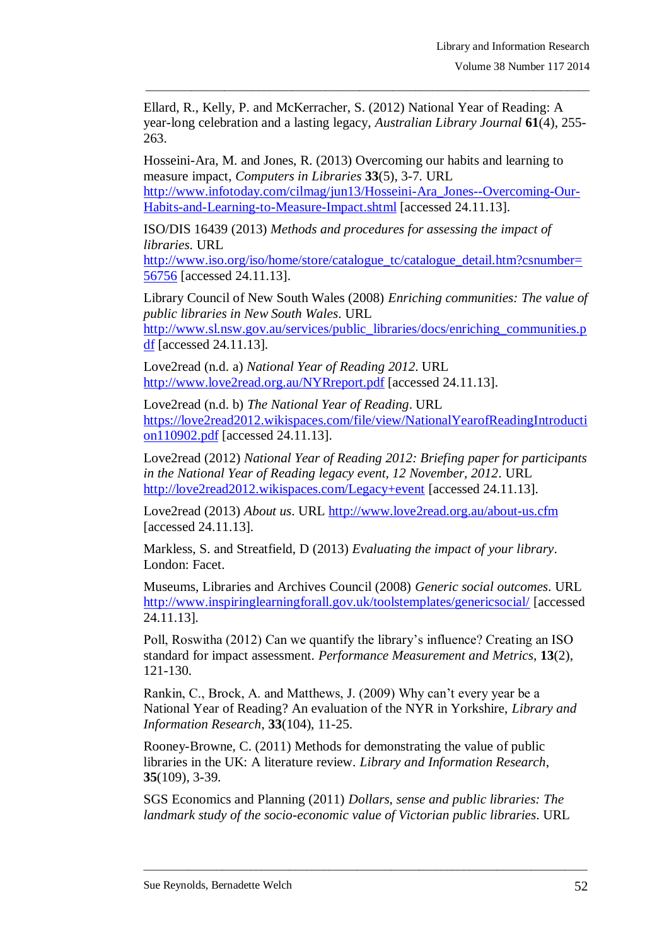Ellard, R., Kelly, P. and McKerracher, S. (2012) National Year of Reading: A year-long celebration and a lasting legacy, *Australian Library Journal* **61**(4), 255- 263.

\_\_\_\_\_\_\_\_\_\_\_\_\_\_\_\_\_\_\_\_\_\_\_\_\_\_\_\_\_\_\_\_\_\_\_\_\_\_\_\_\_\_\_\_\_\_\_\_\_\_\_\_\_\_\_\_\_\_\_\_\_\_\_\_\_\_\_\_\_\_\_\_\_\_\_\_\_\_\_

Hosseini-Ara, M. and Jones, R. (2013) Overcoming our habits and learning to measure impact, *Computers in Libraries* **33**(5), 3-7. URL [http://www.infotoday.com/cilmag/jun13/Hosseini-Ara\\_Jones--Overcoming-Our-](http://www.infotoday.com/cilmag/jun13/Hosseini-Ara_Jones--Overcoming-Our-Habits-and-Learning-to-Measure-Impact.shtml)

[Habits-and-Learning-to-Measure-Impact.shtml](http://www.infotoday.com/cilmag/jun13/Hosseini-Ara_Jones--Overcoming-Our-Habits-and-Learning-to-Measure-Impact.shtml) [accessed 24.11.13].

ISO/DIS 16439 (2013) *Methods and procedures for assessing the impact of libraries*. URL

[http://www.iso.org/iso/home/store/catalogue\\_tc/catalogue\\_detail.htm?csnumber=](http://www.iso.org/iso/home/store/catalogue_tc/catalogue_detail.htm?csnumber=56756) [56756](http://www.iso.org/iso/home/store/catalogue_tc/catalogue_detail.htm?csnumber=56756) [accessed 24.11.13].

Library Council of New South Wales (2008) *Enriching communities: The value of public libraries in New South Wales*. URL [http://www.sl.nsw.gov.au/services/public\\_libraries/docs/enriching\\_communities.p](http://www.sl.nsw.gov.au/services/public_libraries/docs/enriching_communities.pdf) [df](http://www.sl.nsw.gov.au/services/public_libraries/docs/enriching_communities.pdf) [accessed 24.11.13].

Love2read (n.d. a) *National Year of Reading 2012*. URL <http://www.love2read.org.au/NYRreport.pdf> [accessed 24.11.13].

Love2read (n.d. b) *The National Year of Reading*. URL [https://love2read2012.wikispaces.com/file/view/NationalYearofReadingIntroducti](https://love2read2012.wikispaces.com/file/view/NationalYearofReadingIntroduction110902.pdf) [on110902.pdf](https://love2read2012.wikispaces.com/file/view/NationalYearofReadingIntroduction110902.pdf) [accessed 24.11.13].

Love2read (2012) *National Year of Reading 2012: Briefing paper for participants in the National Year of Reading legacy event, 12 November, 2012*. URL <http://love2read2012.wikispaces.com/Legacy+event> [accessed 24.11.13].

Love2read (2013) *About us*. URL<http://www.love2read.org.au/about-us.cfm> [accessed 24.11.13].

Markless, S. and Streatfield, D (2013) *Evaluating the impact of your library*. London: Facet.

Museums, Libraries and Archives Council (2008) *Generic social outcomes*. URL <http://www.inspiringlearningforall.gov.uk/toolstemplates/genericsocial/> [accessed 24.11.13].

Poll, Roswitha (2012) Can we quantify the library's influence? Creating an ISO standard for impact assessment. *Performance Measurement and Metrics*, **13**(2), 121-130.

Rankin, C., Brock, A. and Matthews, J. (2009) Why can't every year be a National Year of Reading? An evaluation of the NYR in Yorkshire, *Library and Information Research*, **33**(104), 11-25.

Rooney-Browne, C. (2011) Methods for demonstrating the value of public libraries in the UK: A literature review. *Library and Information Research*, **35**(109), 3-39.

SGS Economics and Planning (2011) *Dollars, sense and public libraries: The landmark study of the socio-economic value of Victorian public libraries*. URL